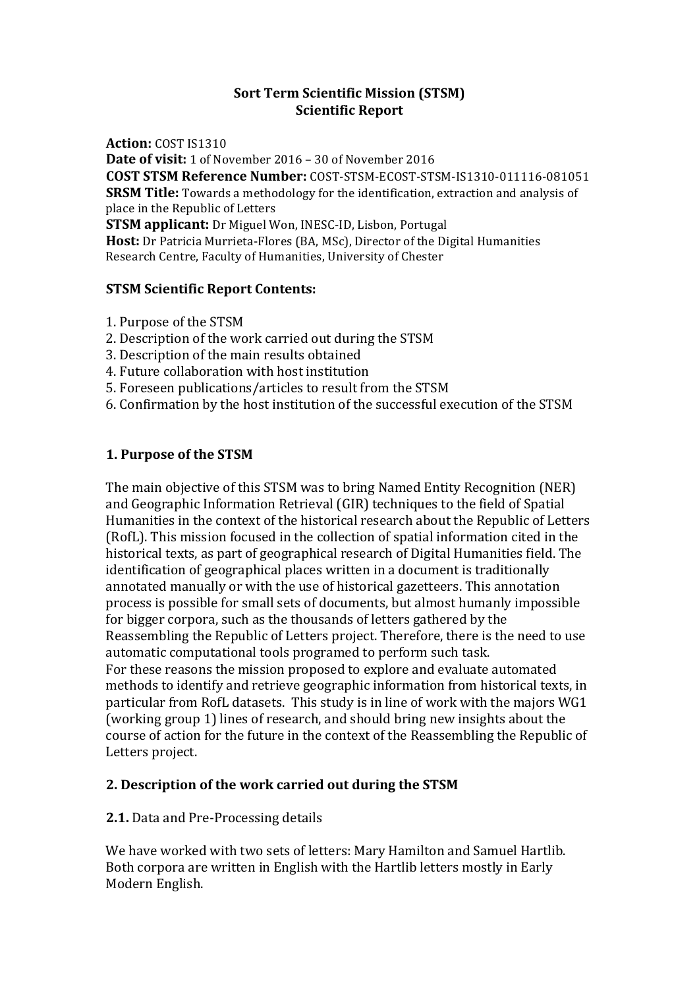### **Sort Term Scientific Mission (STSM) Scientific Report**

**Action: COST IS1310 Date of visit:** 1 of November 2016 – 30 of November 2016 **COST STSM Reference Number:** COST-STSM-ECOST-STSM-IS1310-011116-081051 **SRSM Title:** Towards a methodology for the identification, extraction and analysis of place in the Republic of Letters **STSM applicant:** Dr Miguel Won, INESC-ID, Lisbon, Portugal **Host:** Dr Patricia Murrieta-Flores (BA, MSc), Director of the Digital Humanities Research Centre, Faculty of Humanities, University of Chester

# **STSM Scientific Report Contents:**

- 1. Purpose of the STSM
- 2. Description of the work carried out during the STSM
- 3. Description of the main results obtained
- 4. Future collaboration with host institution
- 5. Foreseen publications/articles to result from the STSM
- 6. Confirmation by the host institution of the successful execution of the STSM

# **1. Purpose of the STSM**

The main objective of this STSM was to bring Named Entity Recognition (NER) and Geographic Information Retrieval (GIR) techniques to the field of Spatial Humanities in the context of the historical research about the Republic of Letters (RofL). This mission focused in the collection of spatial information cited in the historical texts, as part of geographical research of Digital Humanities field. The identification of geographical places written in a document is traditionally annotated manually or with the use of historical gazetteers. This annotation process is possible for small sets of documents, but almost humanly impossible for bigger corpora, such as the thousands of letters gathered by the Reassembling the Republic of Letters project. Therefore, there is the need to use automatic computational tools programed to perform such task. For these reasons the mission proposed to explore and evaluate automated methods to identify and retrieve geographic information from historical texts, in particular from RofL datasets. This study is in line of work with the majors WG1 (working group 1) lines of research, and should bring new insights about the course of action for the future in the context of the Reassembling the Republic of Letters project.

# 2. Description of the work carried out during the STSM

### **2.1.** Data and Pre-Processing details

We have worked with two sets of letters: Mary Hamilton and Samuel Hartlib. Both corpora are written in English with the Hartlib letters mostly in Early Modern English.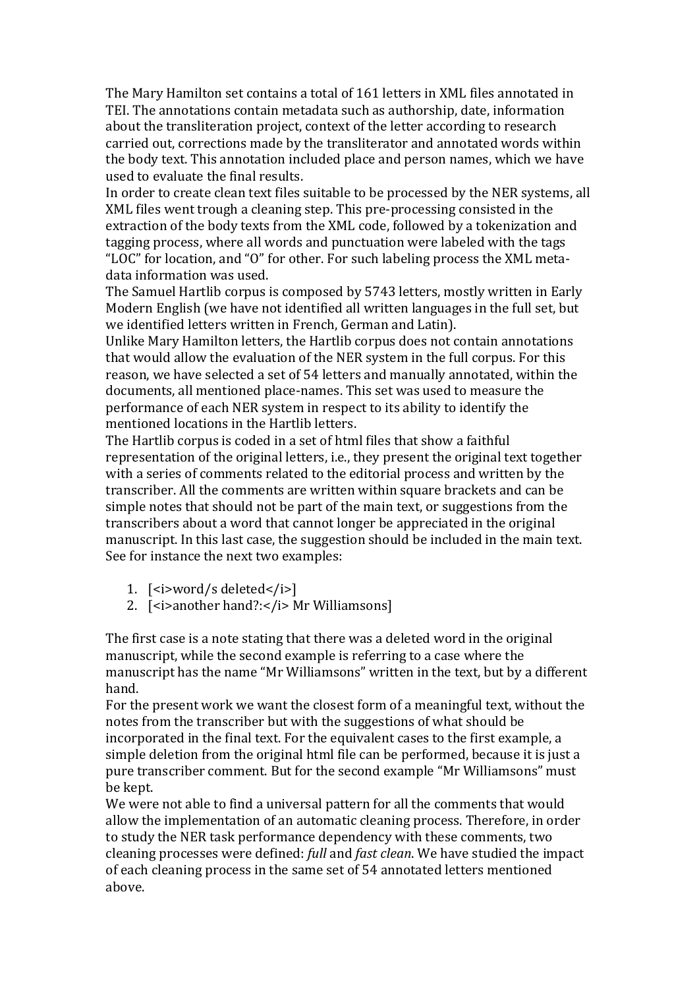The Mary Hamilton set contains a total of 161 letters in XML files annotated in TEI. The annotations contain metadata such as authorship, date, information about the transliteration project, context of the letter according to research carried out, corrections made by the transliterator and annotated words within the body text. This annotation included place and person names, which we have used to evaluate the final results.

In order to create clean text files suitable to be processed by the NER systems, all XML files went trough a cleaning step. This pre-processing consisted in the extraction of the body texts from the XML code, followed by a tokenization and tagging process, where all words and punctuation were labeled with the tags "LOC" for location, and "O" for other. For such labeling process the XML metadata information was used.

The Samuel Hartlib corpus is composed by 5743 letters, mostly written in Early Modern English (we have not identified all written languages in the full set, but we identified letters written in French, German and Latin).

Unlike Mary Hamilton letters, the Hartlib corpus does not contain annotations that would allow the evaluation of the NER system in the full corpus. For this reason, we have selected a set of 54 letters and manually annotated, within the documents, all mentioned place-names. This set was used to measure the performance of each NER system in respect to its ability to identify the mentioned locations in the Hartlib letters.

The Hartlib corpus is coded in a set of html files that show a faithful representation of the original letters, i.e., they present the original text together with a series of comments related to the editorial process and written by the transcriber. All the comments are written within square brackets and can be simple notes that should not be part of the main text, or suggestions from the transcribers about a word that cannot longer be appreciated in the original manuscript. In this last case, the suggestion should be included in the main text. See for instance the next two examples:

- 1. [*si*>word/s deleted*s*/i**>**]
- 2. [<i>another hand?:</i> Mr Williamsons]

The first case is a note stating that there was a deleted word in the original manuscript, while the second example is referring to a case where the manuscript has the name "Mr Williamsons" written in the text, but by a different hand. 

For the present work we want the closest form of a meaningful text, without the notes from the transcriber but with the suggestions of what should be incorporated in the final text. For the equivalent cases to the first example, a simple deletion from the original html file can be performed, because it is just a pure transcriber comment. But for the second example "Mr Williamsons" must be kept.

We were not able to find a universal pattern for all the comments that would allow the implementation of an automatic cleaning process. Therefore, in order to study the NER task performance dependency with these comments, two cleaning processes were defined: *full* and *fast clean*. We have studied the impact of each cleaning process in the same set of 54 annotated letters mentioned above.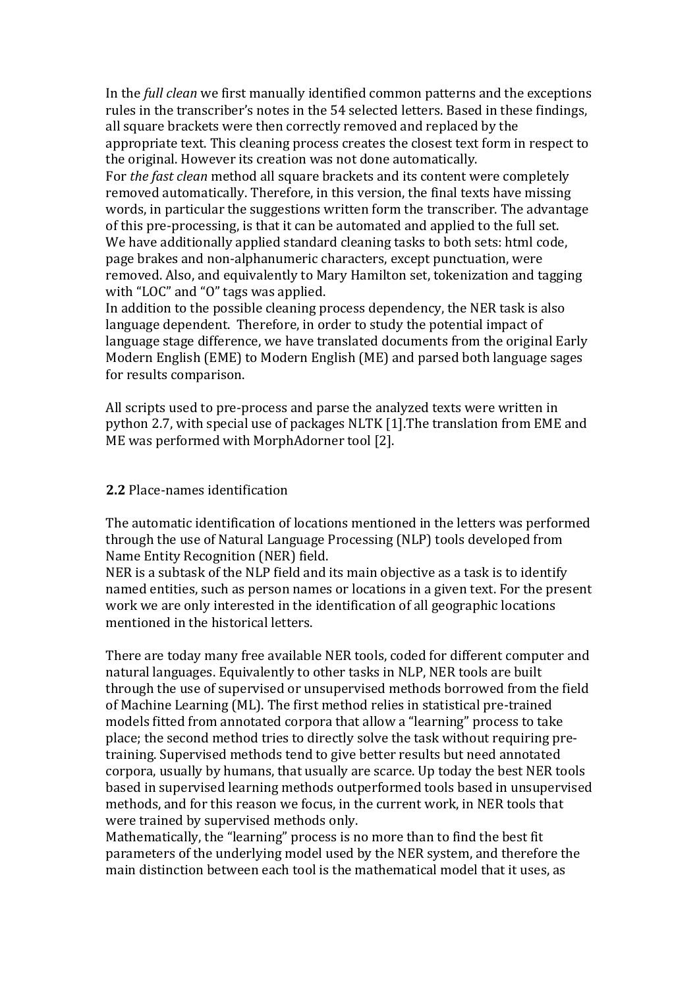In the *full clean* we first manually identified common patterns and the exceptions rules in the transcriber's notes in the 54 selected letters. Based in these findings, all square brackets were then correctly removed and replaced by the appropriate text. This cleaning process creates the closest text form in respect to the original. However its creation was not done automatically.

For *the fast clean* method all square brackets and its content were completely removed automatically. Therefore, in this version, the final texts have missing words, in particular the suggestions written form the transcriber. The advantage of this pre-processing, is that it can be automated and applied to the full set. We have additionally applied standard cleaning tasks to both sets: html code, page brakes and non-alphanumeric characters, except punctuation, were removed. Also, and equivalently to Mary Hamilton set, tokenization and tagging with "LOC" and "O" tags was applied.

In addition to the possible cleaning process dependency, the NER task is also language dependent. Therefore, in order to study the potential impact of language stage difference, we have translated documents from the original Early Modern English (EME) to Modern English (ME) and parsed both language sages for results comparison.

All scripts used to pre-process and parse the analyzed texts were written in python 2.7, with special use of packages NLTK [1]. The translation from EME and ME was performed with MorphAdorner tool [2].

#### **2.2** Place-names identification

The automatic identification of locations mentioned in the letters was performed through the use of Natural Language Processing (NLP) tools developed from Name Entity Recognition (NER) field.

NER is a subtask of the NLP field and its main objective as a task is to identify named entities, such as person names or locations in a given text. For the present work we are only interested in the identification of all geographic locations mentioned in the historical letters.

There are today many free available NER tools, coded for different computer and natural languages. Equivalently to other tasks in NLP, NER tools are built through the use of supervised or unsupervised methods borrowed from the field of Machine Learning (ML). The first method relies in statistical pre-trained models fitted from annotated corpora that allow a "learning" process to take place; the second method tries to directly solve the task without requiring pretraining. Supervised methods tend to give better results but need annotated corpora, usually by humans, that usually are scarce. Up today the best NER tools based in supervised learning methods outperformed tools based in unsupervised methods, and for this reason we focus, in the current work, in NER tools that were trained by supervised methods only.

Mathematically, the "learning" process is no more than to find the best fit parameters of the underlying model used by the NER system, and therefore the main distinction between each tool is the mathematical model that it uses, as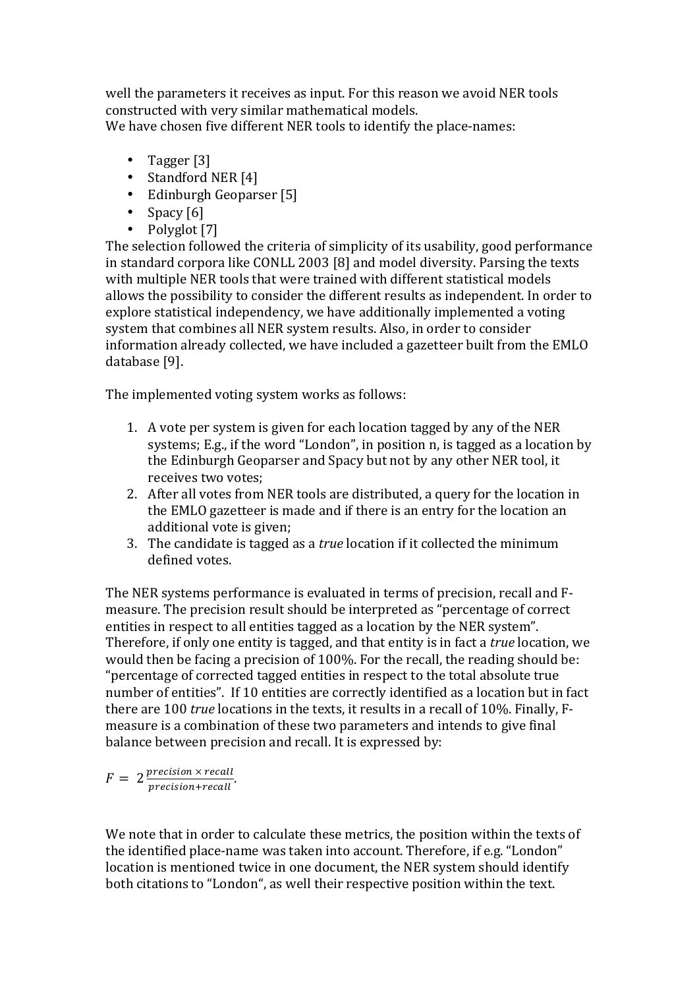well the parameters it receives as input. For this reason we avoid NER tools constructed with very similar mathematical models. We have chosen five different NER tools to identify the place-names:

- Tagger [3]
- Standford NER [4]
- Edinburgh Geoparser [5]
- Spacy  $[6]$
- Polyglot [7]

The selection followed the criteria of simplicity of its usability, good performance in standard corpora like CONLL 2003 [8] and model diversity. Parsing the texts with multiple NER tools that were trained with different statistical models allows the possibility to consider the different results as independent. In order to explore statistical independency, we have additionally implemented a voting system that combines all NER system results. Also, in order to consider information already collected, we have included a gazetteer built from the EMLO database [9].

The implemented voting system works as follows:

- 1. A vote per system is given for each location tagged by any of the NER systems; E.g., if the word "London", in position  $n$ , is tagged as a location by the Edinburgh Geoparser and Spacy but not by any other NER tool, it receives two votes;
- 2. After all votes from NER tools are distributed, a query for the location in the EMLO gazetteer is made and if there is an entry for the location an additional vote is given:
- 3. The candidate is tagged as a *true* location if it collected the minimum defined votes.

The NER systems performance is evaluated in terms of precision, recall and Fmeasure. The precision result should be interpreted as "percentage of correct entities in respect to all entities tagged as a location by the NER system". Therefore, if only one entity is tagged, and that entity is in fact a *true* location, we would then be facing a precision of 100%. For the recall, the reading should be: "percentage of corrected tagged entities in respect to the total absolute true number of entities". If 10 entities are correctly identified as a location but in fact there are 100 *true* locations in the texts, it results in a recall of 10%. Finally, Fmeasure is a combination of these two parameters and intends to give final balance between precision and recall. It is expressed by:

 $F = 2 \frac{precision \times recall}{precision + recall}.$ 

We note that in order to calculate these metrics, the position within the texts of the identified place-name was taken into account. Therefore, if e.g. "London" location is mentioned twice in one document, the NER system should identify both citations to "London", as well their respective position within the text.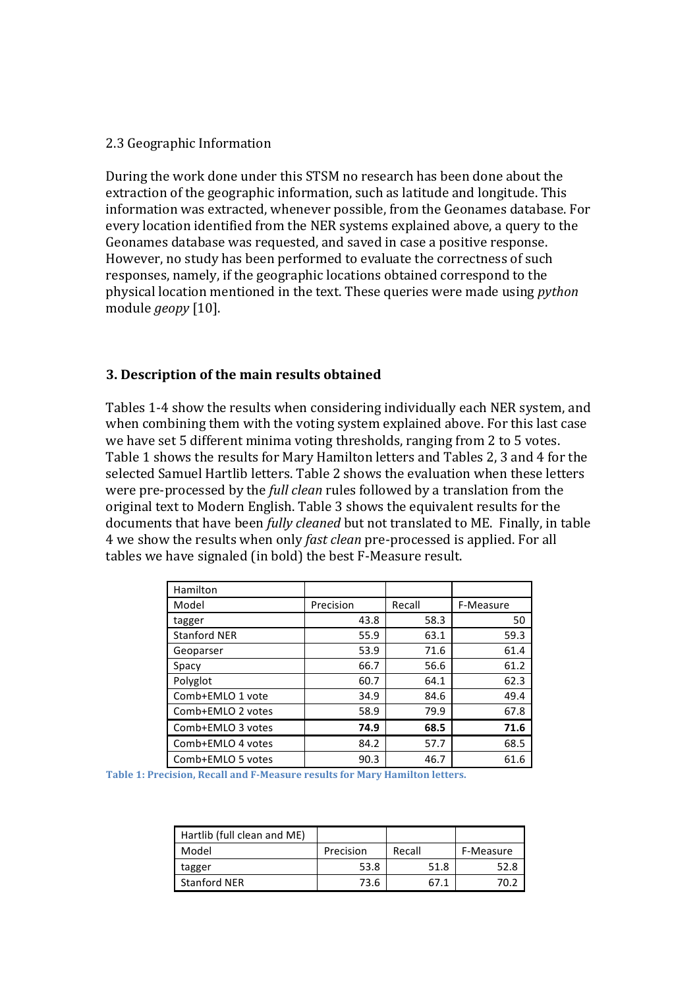#### 2.3 Geographic Information

During the work done under this STSM no research has been done about the extraction of the geographic information, such as latitude and longitude. This information was extracted, whenever possible, from the Geonames database. For every location identified from the NER systems explained above, a query to the Geonames database was requested, and saved in case a positive response. However, no study has been performed to evaluate the correctness of such responses, namely, if the geographic locations obtained correspond to the physical location mentioned in the text. These queries were made using *python* module *geopy* [10].

### **3. Description of the main results obtained**

Tables 1-4 show the results when considering individually each NER system, and when combining them with the voting system explained above. For this last case we have set 5 different minima voting thresholds, ranging from 2 to 5 votes. Table 1 shows the results for Mary Hamilton letters and Tables 2, 3 and 4 for the selected Samuel Hartlib letters. Table 2 shows the evaluation when these letters were pre-processed by the *full clean* rules followed by a translation from the original text to Modern English. Table 3 shows the equivalent results for the documents that have been *fully cleaned* but not translated to ME. Finally, in table 4 we show the results when only *fast clean* pre-processed is applied. For all tables we have signaled (in bold) the best F-Measure result.

| Hamilton            |           |        |           |
|---------------------|-----------|--------|-----------|
| Model               | Precision | Recall | F-Measure |
| tagger              | 43.8      | 58.3   | 50        |
| <b>Stanford NER</b> | 55.9      | 63.1   | 59.3      |
| Geoparser           | 53.9      | 71.6   | 61.4      |
| Spacy               | 66.7      | 56.6   | 61.2      |
| Polyglot            | 60.7      | 64.1   | 62.3      |
| Comb+EMLO 1 vote    | 34.9      | 84.6   | 49.4      |
| Comb+EMLO 2 votes   | 58.9      | 79.9   | 67.8      |
| Comb+EMLO 3 votes   | 74.9      | 68.5   | 71.6      |
| Comb+EMLO 4 votes   | 84.2      | 57.7   | 68.5      |
| Comb+EMLO 5 votes   | 90.3      | 46.7   | 61.6      |

Table 1: Precision, Recall and F-Measure results for Mary Hamilton letters.

| Hartlib (full clean and ME) |           |        |           |
|-----------------------------|-----------|--------|-----------|
| Model                       | Precision | Recall | F-Measure |
| tagger                      | 53.8      | 51.8   | 52.8      |
| <b>Stanford NER</b>         | 73.6      | 67 1   |           |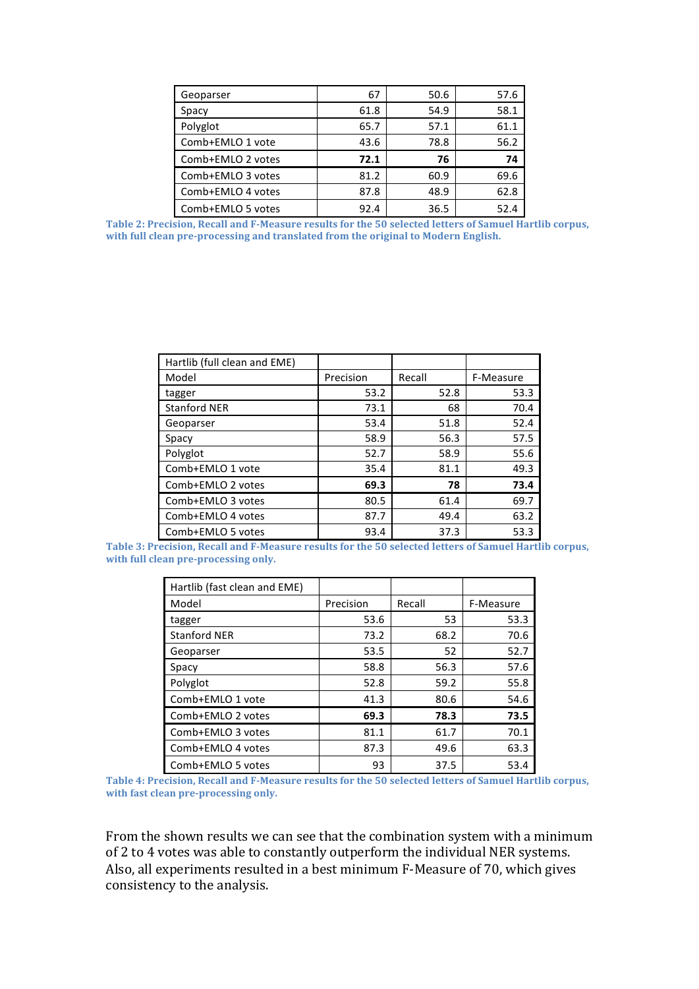| Geoparser         | 67   | 50.6 | 57.6 |
|-------------------|------|------|------|
| Spacy             | 61.8 | 54.9 | 58.1 |
| Polyglot          | 65.7 | 57.1 | 61.1 |
| Comb+EMLO 1 vote  | 43.6 | 78.8 | 56.2 |
| Comb+EMLO 2 votes | 72.1 | 76   | 74   |
| Comb+EMLO 3 votes | 81.2 | 60.9 | 69.6 |
| Comb+EMLO 4 votes | 87.8 | 48.9 | 62.8 |
| Comb+EMLO 5 votes | 92.4 | 36.5 | 52.4 |

Table 2: Precision, Recall and F-Measure results for the 50 selected letters of Samuel Hartlib corpus, with full clean pre-processing and translated from the original to Modern English.

| Hartlib (full clean and EME) |           |        |           |
|------------------------------|-----------|--------|-----------|
| Model                        | Precision | Recall | F-Measure |
| tagger                       | 53.2      | 52.8   | 53.3      |
| <b>Stanford NER</b>          | 73.1      | 68     | 70.4      |
| Geoparser                    | 53.4      | 51.8   | 52.4      |
| Spacy                        | 58.9      | 56.3   | 57.5      |
| Polyglot                     | 52.7      | 58.9   | 55.6      |
| Comb+EMLO 1 vote             | 35.4      | 81.1   | 49.3      |
| Comb+EMLO 2 votes            | 69.3      | 78     | 73.4      |
| Comb+EMLO 3 votes            | 80.5      | 61.4   | 69.7      |
| Comb+EMLO 4 votes            | 87.7      | 49.4   | 63.2      |
| Comb+EMLO 5 votes            | 93.4      | 37.3   | 53.3      |

Table 3: Precision, Recall and F-Measure results for the 50 selected letters of Samuel Hartlib corpus, with full clean pre-processing only.

| Hartlib (fast clean and EME) |           |        |           |
|------------------------------|-----------|--------|-----------|
| Model                        | Precision | Recall | F-Measure |
| tagger                       | 53.6      | 53     | 53.3      |
| <b>Stanford NER</b>          | 73.2      | 68.2   | 70.6      |
| Geoparser                    | 53.5      | 52     | 52.7      |
| Spacy                        | 58.8      | 56.3   | 57.6      |
| Polyglot                     | 52.8      | 59.2   | 55.8      |
| Comb+EMLO 1 vote             | 41.3      | 80.6   | 54.6      |
| Comb+EMLO 2 votes            | 69.3      | 78.3   | 73.5      |
| Comb+EMLO 3 votes            | 81.1      | 61.7   | 70.1      |
| Comb+EMLO 4 votes            | 87.3      | 49.6   | 63.3      |
| Comb+EMLO 5 votes            | 93        | 37.5   | 53.4      |

Table 4: Precision, Recall and F-Measure results for the 50 selected letters of Samuel Hartlib corpus, with fast clean pre-processing only.

From the shown results we can see that the combination system with a minimum of 2 to 4 votes was able to constantly outperform the individual NER systems. Also, all experiments resulted in a best minimum F-Measure of 70, which gives consistency to the analysis.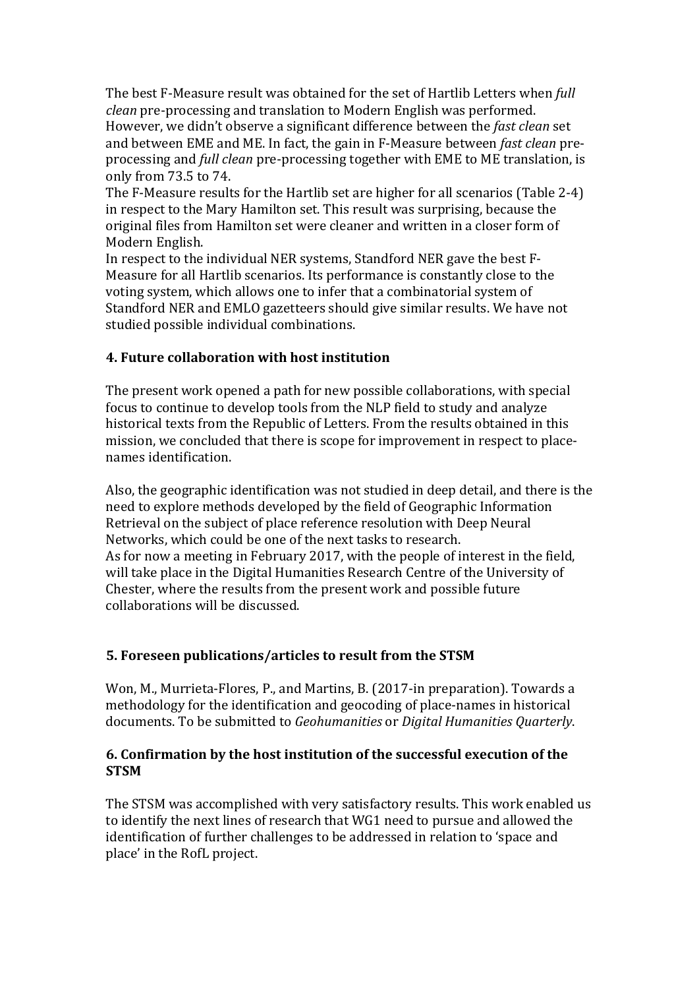The best F-Measure result was obtained for the set of Hartlib Letters when *full clean* pre-processing and translation to Modern English was performed. However, we didn't observe a significant difference between the *fast clean* set and between EME and ME. In fact, the gain in F-Measure between *fast clean* preprocessing and *full clean* pre-processing together with EME to ME translation, is only from 73.5 to 74. 

The F-Measure results for the Hartlib set are higher for all scenarios (Table 2-4) in respect to the Mary Hamilton set. This result was surprising, because the original files from Hamilton set were cleaner and written in a closer form of Modern English.

In respect to the individual NER systems, Standford NER gave the best F-Measure for all Hartlib scenarios. Its performance is constantly close to the voting system, which allows one to infer that a combinatorial system of Standford NER and EMLO gazetteers should give similar results. We have not studied possible individual combinations.

# **4. Future collaboration with host institution**

The present work opened a path for new possible collaborations, with special focus to continue to develop tools from the NLP field to study and analyze historical texts from the Republic of Letters. From the results obtained in this mission, we concluded that there is scope for improvement in respect to placenames identification.

Also, the geographic identification was not studied in deep detail, and there is the need to explore methods developed by the field of Geographic Information Retrieval on the subject of place reference resolution with Deep Neural Networks, which could be one of the next tasks to research. As for now a meeting in February 2017, with the people of interest in the field, will take place in the Digital Humanities Research Centre of the University of Chester, where the results from the present work and possible future collaborations will be discussed.

# **5. Foreseen publications/articles to result from the STSM**

Won, M., Murrieta-Flores, P., and Martins, B. (2017-in preparation). Towards a methodology for the identification and geocoding of place-names in historical documents. To be submitted to *Geohumanities* or *Digital Humanities Quarterly*.

### **6. Confirmation by the host institution of the successful execution of the STSM**

The STSM was accomplished with very satisfactory results. This work enabled us to identify the next lines of research that WG1 need to pursue and allowed the identification of further challenges to be addressed in relation to 'space and place' in the RofL project.